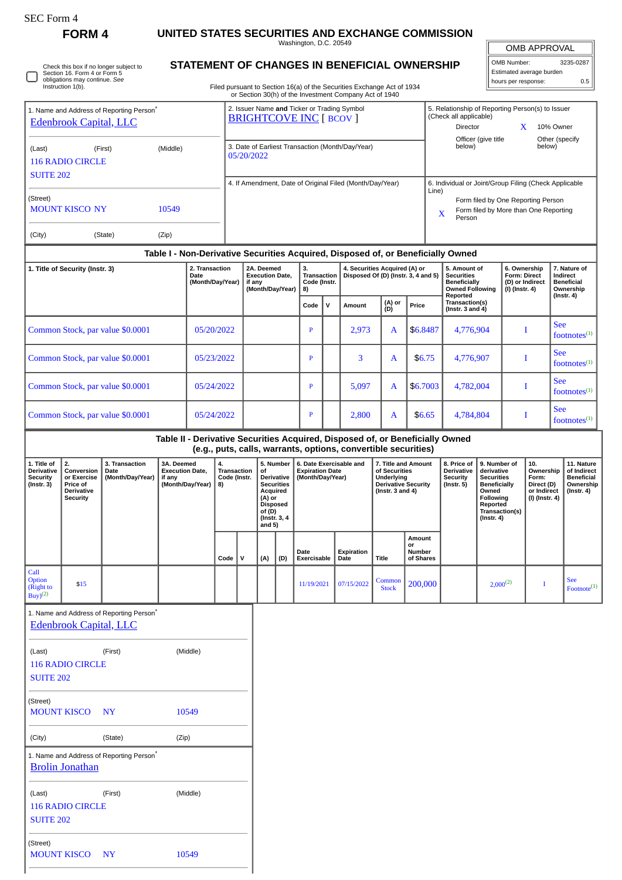## **FORM 4 UNITED STATES SECURITIES AND EXCHANGE COMMISSION**

Washington, D.C. 20549

 $\mathbb{I}$ OMB APPROVAL

5. Relationship of Reporting Person(s) to Issuer (Check all applicable) Director **X** 10% Owner

| OMB Number:              | 3235-0287 |  |  |  |  |  |
|--------------------------|-----------|--|--|--|--|--|
| Estimated average burden |           |  |  |  |  |  |
| hours per response:      | 0.5       |  |  |  |  |  |

Check this box if no longer subject to Section 16. Form 4 or Form 5 obligations may continue. *See* Instruction 1(b). O

1. Name and Address of Reporting Person\* [Edenbrook Capital, LLC](http://www.sec.gov/cgi-bin/browse-edgar?action=getcompany&CIK=0001666682)

MOUNT KISCO NY 10549

## **STATEMENT OF CHANGES IN BENEFICIAL OWNERSHIP**

Filed pursuant to Section 16(a) of the Securities Exchange Act of 1934 or Section 30(h) of the Investment Company Act of 1940

2. Issuer Name **and** Ticker or Trading Symbol [BRIGHTCOVE INC](http://www.sec.gov/cgi-bin/browse-edgar?action=getcompany&CIK=0001313275) [ BCOV ]

| (Middle)<br>(Last)<br>(First)<br><b>116 RADIO CIRCLE</b><br><b>SUITE 202</b>  |                                                                              |                                                      |                                                                                                                                                                                                                                                                                                                                    |            | 3. Date of Earliest Transaction (Month/Day/Year)<br>05/20/2022                                           |                                                                    |     |                                                                                                                                                                                  |                     |                                                                                                            |                                                                                                                                                 | Officer (give title<br>Other (specify<br>below)<br>below) |                                                                                                |        |                                                                                  |                                                                          |               |                                                            |                  |                                       |
|-------------------------------------------------------------------------------|------------------------------------------------------------------------------|------------------------------------------------------|------------------------------------------------------------------------------------------------------------------------------------------------------------------------------------------------------------------------------------------------------------------------------------------------------------------------------------|------------|----------------------------------------------------------------------------------------------------------|--------------------------------------------------------------------|-----|----------------------------------------------------------------------------------------------------------------------------------------------------------------------------------|---------------------|------------------------------------------------------------------------------------------------------------|-------------------------------------------------------------------------------------------------------------------------------------------------|-----------------------------------------------------------|------------------------------------------------------------------------------------------------|--------|----------------------------------------------------------------------------------|--------------------------------------------------------------------------|---------------|------------------------------------------------------------|------------------|---------------------------------------|
|                                                                               |                                                                              |                                                      |                                                                                                                                                                                                                                                                                                                                    |            |                                                                                                          |                                                                    |     |                                                                                                                                                                                  |                     |                                                                                                            | 4. If Amendment, Date of Original Filed (Month/Day/Year)                                                                                        |                                                           |                                                                                                |        | 6. Individual or Joint/Group Filing (Check Applicable                            |                                                                          |               |                                                            |                  |                                       |
| (Street)<br><b>MOUNT KISCO NY</b><br>10549                                    |                                                                              |                                                      |                                                                                                                                                                                                                                                                                                                                    |            |                                                                                                          |                                                                    |     |                                                                                                                                                                                  |                     |                                                                                                            | Line)<br>Form filed by One Reporting Person<br>Form filed by More than One Reporting<br>X<br>Person                                             |                                                           |                                                                                                |        |                                                                                  |                                                                          |               |                                                            |                  |                                       |
| (City)                                                                        |                                                                              | (State)                                              | (Zip)                                                                                                                                                                                                                                                                                                                              |            |                                                                                                          |                                                                    |     |                                                                                                                                                                                  |                     |                                                                                                            |                                                                                                                                                 |                                                           |                                                                                                |        |                                                                                  |                                                                          |               |                                                            |                  |                                       |
|                                                                               |                                                                              |                                                      |                                                                                                                                                                                                                                                                                                                                    |            |                                                                                                          |                                                                    |     |                                                                                                                                                                                  |                     |                                                                                                            |                                                                                                                                                 |                                                           |                                                                                                |        | Table I - Non-Derivative Securities Acquired, Disposed of, or Beneficially Owned |                                                                          |               |                                                            |                  |                                       |
| 2. Transaction<br>1. Title of Security (Instr. 3)<br>Date<br>(Month/Day/Year) |                                                                              |                                                      |                                                                                                                                                                                                                                                                                                                                    |            |                                                                                                          | 2A. Deemed<br><b>Execution Date,</b><br>if any<br>(Month/Day/Year) |     | 3.<br><b>Transaction</b><br>Code (Instr.<br>8)                                                                                                                                   |                     | 4. Securities Acquired (A) or<br>Disposed Of (D) (Instr. 3, 4 and 5)                                       |                                                                                                                                                 |                                                           | 5. Amount of<br><b>Securities</b><br><b>Beneficially</b><br><b>Owned Following</b><br>Reported |        |                                                                                  | 6. Ownership<br><b>Form: Direct</b><br>(D) or Indirect<br>(I) (Instr. 4) |               | 7. Nature of<br>Indirect<br><b>Beneficial</b><br>Ownership |                  |                                       |
|                                                                               |                                                                              |                                                      |                                                                                                                                                                                                                                                                                                                                    |            |                                                                                                          |                                                                    |     |                                                                                                                                                                                  | Code                | $\mathsf{v}$                                                                                               | Amount                                                                                                                                          | (A) or<br>(D)                                             | Price                                                                                          |        | Transaction(s)<br>(Instr. $3$ and $4$ )                                          |                                                                          |               |                                                            | $($ Instr. 4 $)$ |                                       |
|                                                                               |                                                                              | Common Stock, par value \$0.0001                     |                                                                                                                                                                                                                                                                                                                                    | 05/20/2022 |                                                                                                          |                                                                    |     |                                                                                                                                                                                  |                     |                                                                                                            | 2,973                                                                                                                                           | \$6.8487<br>A                                             |                                                                                                |        | 4,776,904                                                                        |                                                                          | I             |                                                            | <b>See</b>       | footnotes $(1)$                       |
|                                                                               |                                                                              | Common Stock, par value \$0.0001                     |                                                                                                                                                                                                                                                                                                                                    | 05/23/2022 |                                                                                                          |                                                                    |     |                                                                                                                                                                                  | $\mathbf{P}$        |                                                                                                            | 3                                                                                                                                               | A                                                         |                                                                                                | \$6.75 | 4,776,907                                                                        |                                                                          | I             |                                                            | <b>See</b>       | $footnotes^{(1)}$                     |
|                                                                               |                                                                              | Common Stock, par value \$0.0001                     |                                                                                                                                                                                                                                                                                                                                    |            | 05/24/2022                                                                                               |                                                                    |     |                                                                                                                                                                                  | $\, {\bf P}$        |                                                                                                            | 5,097                                                                                                                                           | A                                                         | \$6.7003                                                                                       |        | 4,782,004                                                                        |                                                                          | I             |                                                            | <b>See</b>       | footnotes $(1)$                       |
|                                                                               |                                                                              | Common Stock, par value \$0.0001                     |                                                                                                                                                                                                                                                                                                                                    | 05/24/2022 |                                                                                                          |                                                                    |     |                                                                                                                                                                                  | $\mathbf{P}$        |                                                                                                            | 2,800                                                                                                                                           | A                                                         | \$6.65                                                                                         |        | 4,784,804                                                                        |                                                                          | I             |                                                            | <b>See</b>       | $footnotes^{(1)}$                     |
|                                                                               |                                                                              |                                                      |                                                                                                                                                                                                                                                                                                                                    |            |                                                                                                          |                                                                    |     |                                                                                                                                                                                  |                     |                                                                                                            | Table II - Derivative Securities Acquired, Disposed of, or Beneficially Owned<br>(e.g., puts, calls, warrants, options, convertible securities) |                                                           |                                                                                                |        |                                                                                  |                                                                          |               |                                                            |                  |                                       |
| 1. Title of<br>Derivative<br><b>Security</b><br>$($ Instr. 3 $)$              | 2.<br>Conversion<br>or Exercise<br>Price of<br>Derivative<br><b>Security</b> | 3. Transaction<br>Date<br>(Month/Day/Year)           | 3A. Deemed<br>4.<br>5. Number<br>6. Date Exercisable and<br><b>Execution Date,</b><br><b>Transaction</b><br><b>Expiration Date</b><br>of<br>Code (Instr.<br>Derivative<br>(Month/Day/Year)<br>if any<br>(Month/Day/Year)<br><b>Securities</b><br>8)<br>Acquired<br>(A) or<br><b>Disposed</b><br>of (D)<br>(Instr. 3, 4<br>and $5)$ |            | 7. Title and Amount<br>of Securities<br>Underlying<br><b>Derivative Security</b><br>( $lnstr. 3 and 4$ ) |                                                                    |     | 8. Price of<br>Derivative<br>derivative<br><b>Securities</b><br><b>Security</b><br>$($ Instr. 5 $)$<br><b>Beneficially</b><br>Owned<br>Following<br>Reported<br>$($ Instr. 4 $)$ |                     | 9. Number of<br>10.<br>Ownership<br>Form:<br>Direct (D)<br>or Indirect<br>(I) (Instr. 4)<br>Transaction(s) |                                                                                                                                                 |                                                           | 11. Nature<br>of Indirect<br><b>Beneficial</b><br>Ownership<br>$($ Instr. 4 $)$                |        |                                                                                  |                                                                          |               |                                                            |                  |                                       |
|                                                                               |                                                                              |                                                      |                                                                                                                                                                                                                                                                                                                                    |            | Code                                                                                                     | v                                                                  | (A) | (D)                                                                                                                                                                              | Date<br>Exercisable |                                                                                                            | <b>Expiration</b><br>Date                                                                                                                       | <b>Title</b>                                              | Amount<br>or<br>Number<br>of Shares                                                            |        |                                                                                  |                                                                          |               |                                                            |                  |                                       |
| Call<br>Option<br>(Right to<br>$\overline{Buy}$ <sup>(2)</sup>                | \$15                                                                         |                                                      |                                                                                                                                                                                                                                                                                                                                    |            |                                                                                                          |                                                                    |     |                                                                                                                                                                                  | 11/19/2021          |                                                                                                            | 07/15/2022                                                                                                                                      | Common<br><b>Stock</b>                                    | 200,000                                                                                        |        |                                                                                  |                                                                          | $2,000^{(2)}$ | 1                                                          |                  | <b>See</b><br>$\text{Footnote}^{(1)}$ |
|                                                                               | <b>Edenbrook Capital, LLC</b>                                                | 1. Name and Address of Reporting Person <sup>*</sup> |                                                                                                                                                                                                                                                                                                                                    |            |                                                                                                          |                                                                    |     |                                                                                                                                                                                  |                     |                                                                                                            |                                                                                                                                                 |                                                           |                                                                                                |        |                                                                                  |                                                                          |               |                                                            |                  |                                       |
| (Last)<br><b>SUITE 202</b>                                                    | <b>116 RADIO CIRCLE</b>                                                      | (First)                                              |                                                                                                                                                                                                                                                                                                                                    | (Middle)   |                                                                                                          |                                                                    |     |                                                                                                                                                                                  |                     |                                                                                                            |                                                                                                                                                 |                                                           |                                                                                                |        |                                                                                  |                                                                          |               |                                                            |                  |                                       |
| (Street)                                                                      | <b>MOUNT KISCO</b>                                                           | <b>NY</b>                                            |                                                                                                                                                                                                                                                                                                                                    | 10549      |                                                                                                          |                                                                    |     |                                                                                                                                                                                  |                     |                                                                                                            |                                                                                                                                                 |                                                           |                                                                                                |        |                                                                                  |                                                                          |               |                                                            |                  |                                       |
| (City)                                                                        |                                                                              | (State)                                              | (Zip)                                                                                                                                                                                                                                                                                                                              |            |                                                                                                          |                                                                    |     |                                                                                                                                                                                  |                     |                                                                                                            |                                                                                                                                                 |                                                           |                                                                                                |        |                                                                                  |                                                                          |               |                                                            |                  |                                       |
|                                                                               | <b>Brolin Jonathan</b>                                                       | 1. Name and Address of Reporting Person*             |                                                                                                                                                                                                                                                                                                                                    |            |                                                                                                          |                                                                    |     |                                                                                                                                                                                  |                     |                                                                                                            |                                                                                                                                                 |                                                           |                                                                                                |        |                                                                                  |                                                                          |               |                                                            |                  |                                       |
| (Last)<br><b>SUITE 202</b>                                                    | <b>116 RADIO CIRCLE</b>                                                      | (First)                                              |                                                                                                                                                                                                                                                                                                                                    | (Middle)   |                                                                                                          |                                                                    |     |                                                                                                                                                                                  |                     |                                                                                                            |                                                                                                                                                 |                                                           |                                                                                                |        |                                                                                  |                                                                          |               |                                                            |                  |                                       |
| (Street)                                                                      |                                                                              |                                                      |                                                                                                                                                                                                                                                                                                                                    |            |                                                                                                          |                                                                    |     |                                                                                                                                                                                  |                     |                                                                                                            |                                                                                                                                                 |                                                           |                                                                                                |        |                                                                                  |                                                                          |               |                                                            |                  |                                       |